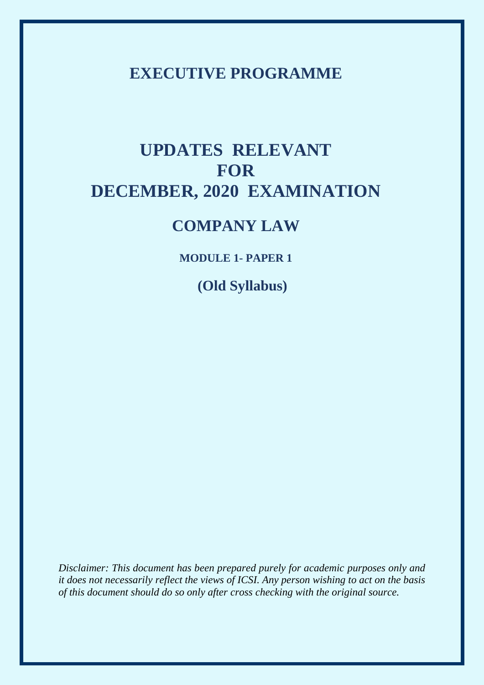# **EXECUTIVE PROGRAMME**

# **UPDATES RELEVANT FOR DECEMBER, 2020 EXAMINATION**

# **COMPANY LAW**

**MODULE 1- PAPER 1**

 **(Old Syllabus)**

*Disclaimer: This document has been prepared purely for academic purposes only and it does not necessarily reflect the views of ICSI. Any person wishing to act on the basis of this document should do so only after cross checking with the original source.*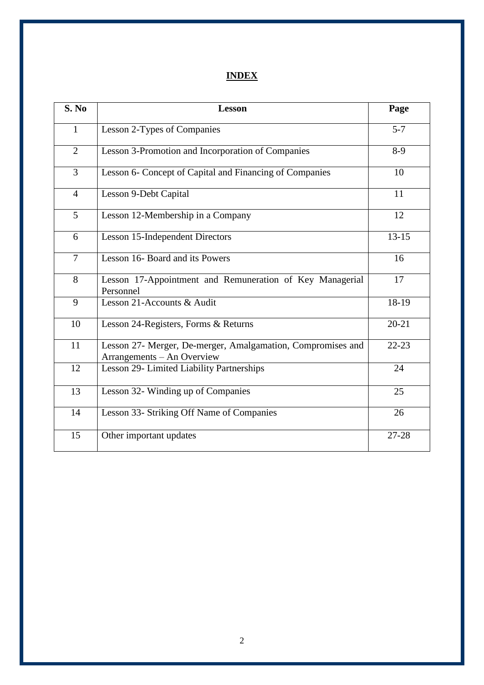# **INDEX**

| S. No          | <b>Lesson</b>                                                                             | Page      |
|----------------|-------------------------------------------------------------------------------------------|-----------|
| $\mathbf{1}$   | Lesson 2-Types of Companies                                                               | $5 - 7$   |
| $\overline{2}$ | Lesson 3-Promotion and Incorporation of Companies                                         | $8-9$     |
| $\overline{3}$ | Lesson 6- Concept of Capital and Financing of Companies                                   | 10        |
| $\overline{4}$ | Lesson 9-Debt Capital                                                                     | 11        |
| 5              | Lesson 12-Membership in a Company                                                         | 12        |
| 6              | <b>Lesson 15-Independent Directors</b>                                                    | $13 - 15$ |
| $\overline{7}$ | Lesson 16- Board and its Powers                                                           | 16        |
| 8              | Lesson 17-Appointment and Remuneration of Key Managerial<br>Personnel                     | 17        |
| 9              | Lesson 21-Accounts & Audit                                                                | 18-19     |
| 10             | Lesson 24-Registers, Forms & Returns                                                      | $20 - 21$ |
| 11             | Lesson 27- Merger, De-merger, Amalgamation, Compromises and<br>Arrangements - An Overview | $22 - 23$ |
| 12             | Lesson 29- Limited Liability Partnerships                                                 | 24        |
| 13             | Lesson 32- Winding up of Companies                                                        | 25        |
| 14             | Lesson 33- Striking Off Name of Companies                                                 | 26        |
| 15             | Other important updates                                                                   | 27-28     |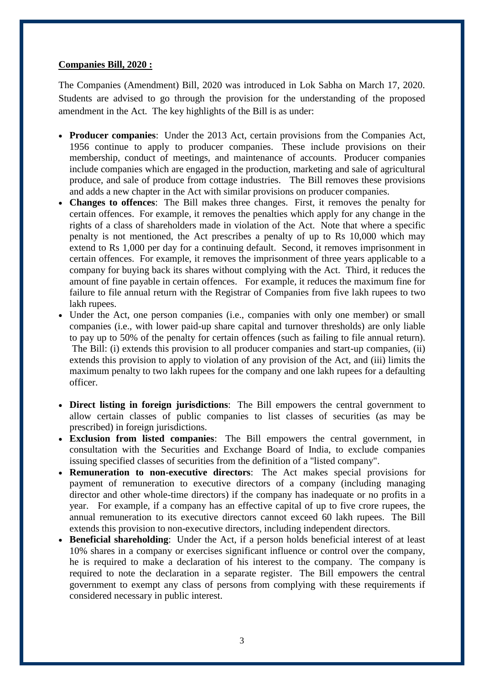#### **Companies Bill, 2020 :**

The Companies (Amendment) Bill, 2020 was introduced in Lok Sabha on March 17, 2020. Students are advised to go through the provision for the understanding of the proposed amendment in the Act. The key highlights of the Bill is as under:

- **Producer companies**: Under the 2013 Act, certain provisions from the Companies Act, 1956 continue to apply to producer companies. These include provisions on their membership, conduct of meetings, and maintenance of accounts. Producer companies include companies which are engaged in the production, marketing and sale of agricultural produce, and sale of produce from cottage industries. The Bill removes these provisions and adds a new chapter in the Act with similar provisions on producer companies.
- **Changes to offences**: The Bill makes three changes. First, it removes the penalty for certain offences. For example, it removes the penalties which apply for any change in the rights of a class of shareholders made in violation of the Act. Note that where a specific penalty is not mentioned, the Act prescribes a penalty of up to Rs 10,000 which may extend to Rs 1,000 per day for a continuing default. Second, it removes imprisonment in certain offences. For example, it removes the imprisonment of three years applicable to a company for buying back its shares without complying with the Act. Third, it reduces the amount of fine payable in certain offences. For example, it reduces the maximum fine for failure to file annual return with the Registrar of Companies from five lakh rupees to two lakh rupees.
- Under the Act, one person companies (i.e., companies with only one member) or small companies (i.e., with lower paid-up share capital and turnover thresholds) are only liable to pay up to 50% of the penalty for certain offences (such as failing to file annual return). The Bill: (i) extends this provision to all producer companies and start-up companies, (ii) extends this provision to apply to violation of any provision of the Act, and (iii) limits the maximum penalty to two lakh rupees for the company and one lakh rupees for a defaulting officer.
- **Direct listing in foreign jurisdictions**: The Bill empowers the central government to allow certain classes of public companies to list classes of securities (as may be prescribed) in foreign jurisdictions.
- **Exclusion from listed companies**: The Bill empowers the central government, in consultation with the Securities and Exchange Board of India, to exclude companies issuing specified classes of securities from the definition of a "listed company".
- **Remuneration to non-executive directors**: The Act makes special provisions for payment of remuneration to executive directors of a company (including managing director and other whole-time directors) if the company has inadequate or no profits in a year. For example, if a company has an effective capital of up to five crore rupees, the annual remuneration to its executive directors cannot exceed 60 lakh rupees. The Bill extends this provision to non-executive directors, including independent directors.
- **Beneficial shareholding**: Under the Act, if a person holds beneficial interest of at least 10% shares in a company or exercises significant influence or control over the company, he is required to make a declaration of his interest to the company. The company is required to note the declaration in a separate register. The Bill empowers the central government to exempt any class of persons from complying with these requirements if considered necessary in public interest.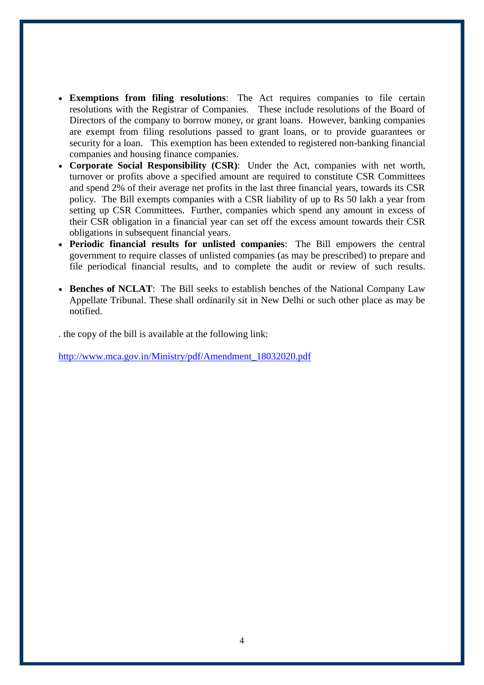- **Exemptions from filing resolutions**: The Act requires companies to file certain resolutions with the Registrar of Companies. These include resolutions of the Board of Directors of the company to borrow money, or grant loans. However, banking companies are exempt from filing resolutions passed to grant loans, or to provide guarantees or security for a loan. This exemption has been extended to registered non-banking financial companies and housing finance companies.
- **Corporate Social Responsibility (CSR)**: Under the Act, companies with net worth, turnover or profits above a specified amount are required to constitute CSR Committees and spend 2% of their average net profits in the last three financial years, towards its CSR policy. The Bill exempts companies with a CSR liability of up to Rs 50 lakh a year from setting up CSR Committees. Further, companies which spend any amount in excess of their CSR obligation in a financial year can set off the excess amount towards their CSR obligations in subsequent financial years.
- **Periodic financial results for unlisted companies**: The Bill empowers the central government to require classes of unlisted companies (as may be prescribed) to prepare and file periodical financial results, and to complete the audit or review of such results.
- **Benches of NCLAT**: The Bill seeks to establish benches of the National Company Law Appellate Tribunal. These shall ordinarily sit in New Delhi or such other place as may be notified.

. the copy of the bill is available at the following link:

[http://www.mca.gov.in/Ministry/pdf/Amendment\\_18032020.pdf](http://www.mca.gov.in/Ministry/pdf/Amendment_18032020.pdf)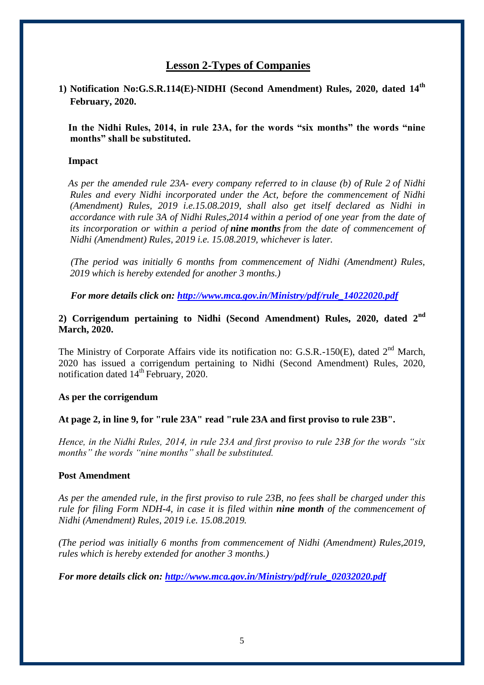# **Lesson 2-Types of Companies**

**1) Notification No:G.S.R.114(E)-NIDHI (Second Amendment) Rules, 2020, dated 14th February, 2020.** 

 **In the Nidhi Rules, 2014, in rule 23A, for the words "six months" the words "nine months" shall be substituted.**

#### **Impact**

 *As per the amended rule 23A- every company referred to in clause (b) of [Rule 2](http://ebook.mca.gov.in/Actpagedisplay.aspx?PAGENAME=18220) of Nidhi Rules and every Nidhi incorporated under the Act, before the commencement of Nidhi (Amendment) Rules, 2019 i.e.15.08.2019, shall also get itself declared as Nidhi in accordance with [rule 3A](http://ebook.mca.gov.in/Actpagedisplay.aspx?PAGENAME=28472) of Nidhi Rules,2014 within a period of one year from the date of its incorporation or within a period of nine months from the date of commencement of Nidhi (Amendment) Rules, 2019 i.e. 15.08.2019, whichever is later.* 

 *(The period was initially 6 months from commencement of Nidhi (Amendment) Rules, 2019 which is hereby extended for another 3 months.)*

 *For more details click on: [http://www.mca.gov.in/Ministry/pdf/rule\\_14022020.pdf](http://www.mca.gov.in/Ministry/pdf/rule_14022020.pdf)*

#### **2) Corrigendum pertaining to Nidhi (Second Amendment) Rules, 2020, dated 2nd March, 2020.**

The Ministry of Corporate Affairs vide its notification no: G.S.R.-150 $(E)$ , dated  $2<sup>nd</sup>$  March, 2020 has issued a corrigendum pertaining to Nidhi (Second Amendment) Rules, 2020, notification dated 14<sup>th</sup> February, 2020.

#### **As per the corrigendum**

#### **At page 2, in line 9, for "rule 23A" read "rule 23A and first proviso to rule 23B".**

*Hence, in the Nidhi Rules, 2014, in rule 23A and first proviso to rule 23B for the words "six months" the words "nine months" shall be substituted.* 

#### **Post Amendment**

*As per the amended rule, in the first proviso to rule 23B, no fees shall be charged under this rule for filing Form NDH-4, in case it is filed within nine month of the commencement of Nidhi (Amendment) Rules, 2019 i.e. 15.08.2019.*

*(The period was initially 6 months from commencement of Nidhi (Amendment) Rules,2019, rules which is hereby extended for another 3 months.)*

*For more details click on: [http://www.mca.gov.in/Ministry/pdf/rule\\_02032020.pdf](http://www.mca.gov.in/Ministry/pdf/rule_02032020.pdf)*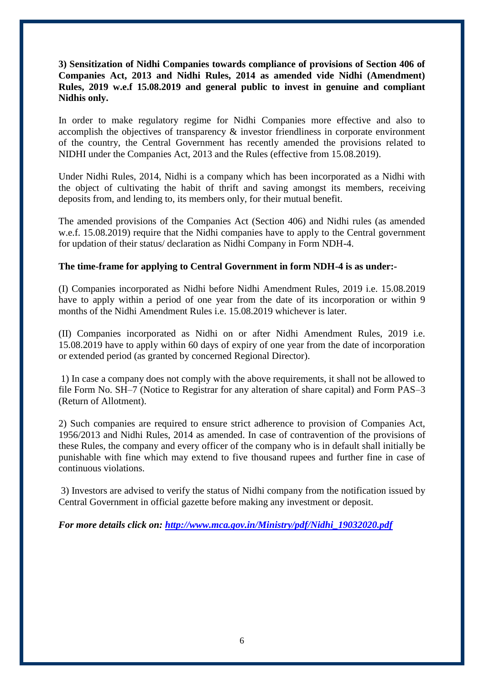#### **3) Sensitization of Nidhi Companies towards compliance of provisions of Section 406 of Companies Act, 2013 and Nidhi Rules, 2014 as amended vide Nidhi (Amendment) Rules, 2019 w.e.f 15.08.2019 and general public to invest in genuine and compliant Nidhis only.**

In order to make regulatory regime for Nidhi Companies more effective and also to accomplish the objectives of transparency & investor friendliness in corporate environment of the country, the Central Government has recently amended the provisions related to NIDHI under the Companies Act, 2013 and the Rules (effective from 15.08.2019).

Under Nidhi Rules, 2014, Nidhi is a company which has been incorporated as a Nidhi with the object of cultivating the habit of thrift and saving amongst its members, receiving deposits from, and lending to, its members only, for their mutual benefit.

The amended provisions of the Companies Act (Section 406) and Nidhi rules (as amended w.e.f. 15.08.2019) require that the Nidhi companies have to apply to the Central government for updation of their status/ declaration as Nidhi Company in Form NDH-4.

#### **The time-frame for applying to Central Government in form NDH-4 is as under:-**

(I) Companies incorporated as Nidhi before Nidhi Amendment Rules, 2019 i.e. 15.08.2019 have to apply within a period of one year from the date of its incorporation or within 9 months of the Nidhi Amendment Rules i.e. 15.08.2019 whichever is later.

(II) Companies incorporated as Nidhi on or after Nidhi Amendment Rules, 2019 i.e. 15.08.2019 have to apply within 60 days of expiry of one year from the date of incorporation or extended period (as granted by concerned Regional Director).

1) In case a company does not comply with the above requirements, it shall not be allowed to file Form No. SH–7 (Notice to Registrar for any alteration of share capital) and Form PAS–3 (Return of Allotment).

2) Such companies are required to ensure strict adherence to provision of Companies Act, 1956/2013 and Nidhi Rules, 2014 as amended. In case of contravention of the provisions of these Rules, the company and every officer of the company who is in default shall initially be punishable with fine which may extend to five thousand rupees and further fine in case of continuous violations.

3) Investors are advised to verify the status of Nidhi company from the notification issued by Central Government in official gazette before making any investment or deposit.

*For more details click on: [http://www.mca.gov.in/Ministry/pdf/Nidhi\\_19032020.pdf](http://www.mca.gov.in/Ministry/pdf/Nidhi_19032020.pdf)*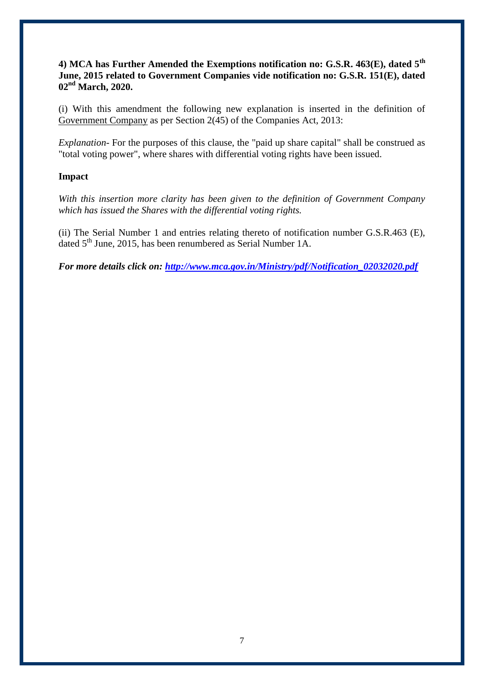#### **4) MCA has Further Amended the Exemptions notification no: G.S.R. 463(E), dated 5th June, 2015 related to Government Companies vide notification no: G.S.R. 151(E), dated 02nd March, 2020.**

(i) With this amendment the following new explanation is inserted in the definition of Government Company as per Section 2(45) of the Companies Act, 2013:

*Explanation-* For the purposes of this clause, the "paid up share capital" shall be construed as "total voting power", where shares with differential voting rights have been issued.

#### **Impact**

*With this insertion more clarity has been given to the definition of Government Company which has issued the Shares with the differential voting rights.*

(ii) The Serial Number 1 and entries relating thereto of notification number G.S.R.463 (E), dated 5<sup>th</sup> June, 2015, has been renumbered as Serial Number 1A.

*For more details click on: [http://www.mca.gov.in/Ministry/pdf/Notification\\_02032020.pdf](http://www.mca.gov.in/Ministry/pdf/Notification_02032020.pdf)*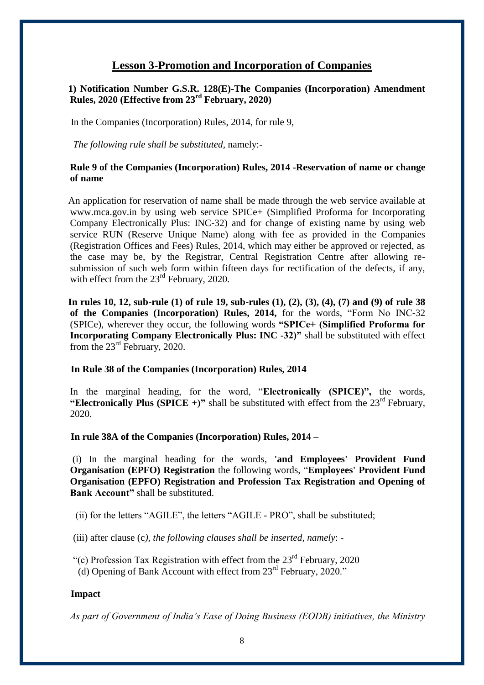# **Lesson 3-Promotion and Incorporation of Companies**

#### **1) Notification Number G.S.R. 128(E)-The Companies (Incorporation) Amendment Rules, 2020 (Effective from 23rd February, 2020)**

In the Companies (Incorporation) Rules, 2014, for rule 9,

 *The following rule shall be substituted,* namely:-

#### **Rule 9 of the Companies (Incorporation) Rules, 2014 -Reservation of name or change of name**

 An application for reservation of name shall be made through the web service available at www.mca.gov.in by using web service SPICe+ (Simplified Proforma for Incorporating Company Electronically Plus: INC-32) and for change of existing name by using web service RUN (Reserve Unique Name) along with fee as provided in the Companies (Registration Offices and Fees) Rules, 2014, which may either be approved or rejected, as the case may be, by the Registrar, Central Registration Centre after allowing resubmission of such web form within fifteen days for rectification of the defects, if any, with effect from the  $23<sup>rd</sup>$  February, 2020.

 **In rules 10, 12, sub-rule (1) of rule 19, sub-rules (1), (2), (3), (4), (7) and (9) of rule 38 of the Companies (Incorporation) Rules, 2014,** for the words, "Form No INC-32 (SPICe), wherever they occur, the following words **"SPICe+ (Simplified Proforma for Incorporating Company Electronically Plus: INC -32)"** shall be substituted with effect from the  $23^{\text{rd}}$  February, 2020.

#### **In Rule 38 of the Companies (Incorporation) Rules, 2014**

In the marginal heading, for the word, "**Electronically (SPICE)",** the words, "Electronically Plus (SPICE +)" shall be substituted with effect from the  $23<sup>rd</sup>$  February, 2020.

#### **In rule 38A of the Companies (Incorporation) Rules, 2014 –**

(i) In the marginal heading for the words, **'and Employees' Provident Fund Organisation (EPFO) Registration** the following words, "**Employees' Provident Fund Organisation (EPFO) Registration and Profession Tax Registration and Opening of Bank Account"** shall be substituted.

(ii) for the letters "AGILE", the letters "AGILE - PRO", shall be substituted;

(iii) after clause (c*), the following clauses shall be inserted, namely*: -

"(c) Profession Tax Registration with effect from the 23rd February, 2020

(d) Opening of Bank Account with effect from  $23<sup>rd</sup>$  February, 2020."

#### **Impact**

*As part of Government of India's Ease of Doing Business (EODB) initiatives, the Ministry*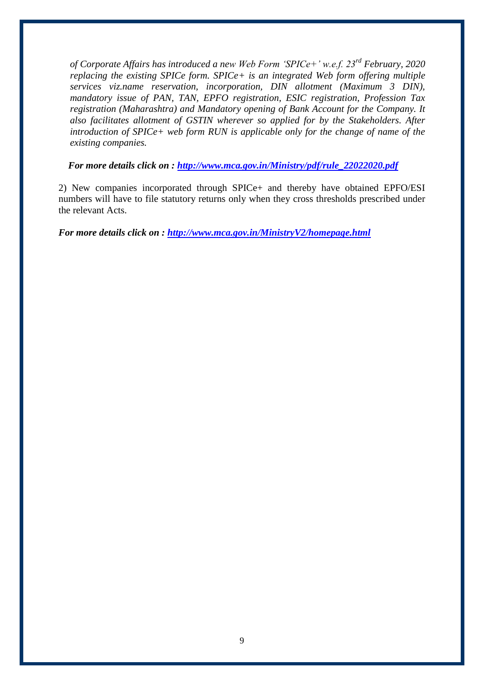*of Corporate Affairs has introduced a new Web Form 'SPICe+' w.e.f. 23rd February, 2020 replacing the existing SPICe form. SPICe+ is an integrated Web form offering multiple services viz.name reservation, incorporation, DIN allotment (Maximum 3 DIN), mandatory issue of PAN, TAN, EPFO registration, ESIC registration, Profession Tax registration (Maharashtra) and Mandatory opening of Bank Account for the Company. It also facilitates allotment of GSTIN wherever so applied for by the Stakeholders. After introduction of SPICe+ web form RUN is applicable only for the change of name of the existing companies.*

 *For more details click on : [http://www.mca.gov.in/Ministry/pdf/rule\\_22022020.pdf](http://www.mca.gov.in/Ministry/pdf/rule_22022020.pdf)*

2) New companies incorporated through SPICe+ and thereby have obtained EPFO/ESI numbers will have to file statutory returns only when they cross thresholds prescribed under the relevant Acts.

*For more details click on :<http://www.mca.gov.in/MinistryV2/homepage.html>*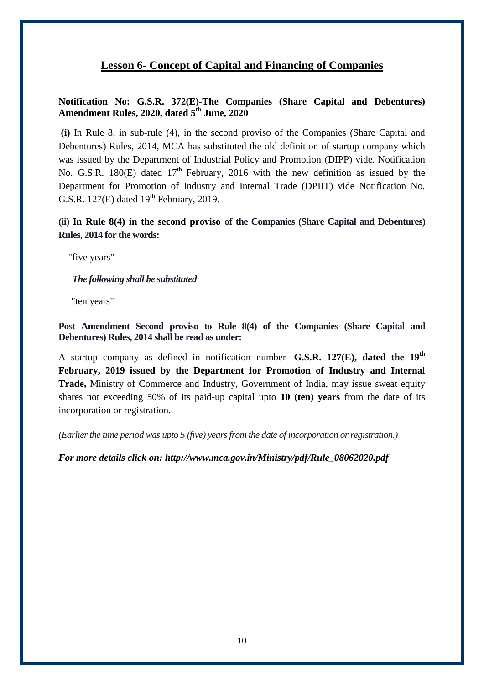# **Lesson 6- Concept of Capital and Financing of Companies**

#### **Notification No: G.S.R. 372(E)-The Companies (Share Capital and Debentures) Amendment Rules, 2020, dated 5th June, 2020**

**(i)** In Rule 8, in sub-rule (4), in the second proviso of the Companies (Share Capital and Debentures) Rules, 2014, MCA has substituted the old definition of startup company which was issued by the Department of Industrial Policy and Promotion (DIPP) vide. Notification No. G.S.R. 180 $(E)$  dated 17<sup>th</sup> February, 2016 with the new definition as issued by the Department for Promotion of Industry and Internal Trade (DPIIT) vide Notification No. G.S.R. 127 $(E)$  dated 19<sup>th</sup> February, 2019.

**(ii) In Rule 8(4) in the second proviso of the Companies (Share Capital and Debentures) Rules, 2014 for the words:**

"five years"

*The following shall be substituted*

"ten years"

**Post Amendment Second proviso to Rule 8(4) of the Companies (Share Capital and Debentures) Rules, 2014 shall be read as under:** 

A startup company as defined in notification number **G.S.R. 127(E), dated the 19th February, 2019 issued by the Department for Promotion of Industry and Internal Trade,** Ministry of Commerce and Industry, Government of India, may issue sweat equity shares not exceeding 50% of its paid-up capital upto **10 (ten) years** from the date of its incorporation or registration.

*(Earlier the time period was upto 5 (five) years from the date of incorporation or registration.)*

*For more details click on: http://www.mca.gov.in/Ministry/pdf/Rule\_08062020.pdf*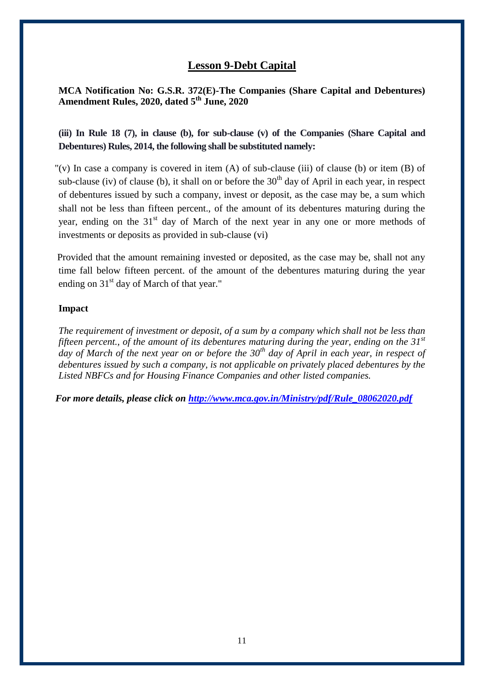# **Lesson 9-Debt Capital**

**MCA Notification No: G.S.R. 372(E)-The Companies (Share Capital and Debentures) Amendment Rules, 2020, dated 5th June, 2020**

**(iii) In Rule 18 (7), in clause (b), for sub-clause (v) of the Companies (Share Capital and Debentures) Rules, 2014, the following shall be substituted namely:**

"(v) In case a company is covered in item  $(A)$  of sub-clause (iii) of clause (b) or item  $(B)$  of sub-clause (iv) of clause (b), it shall on or before the  $30<sup>th</sup>$  day of April in each year, in respect of debentures issued by such a company, invest or deposit, as the case may be, a sum which shall not be less than fifteen percent., of the amount of its debentures maturing during the year, ending on the 31<sup>st</sup> day of March of the next year in any one or more methods of investments or deposits as provided in sub-clause (vi)

 Provided that the amount remaining invested or deposited, as the case may be, shall not any time fall below fifteen percent. of the amount of the debentures maturing during the year ending on  $31<sup>st</sup>$  day of March of that year."

#### **Impact**

*The requirement of investment or deposit, of a sum by a company which shall not be less than fifteen percent., of the amount of its debentures maturing during the year, ending on the 31st day of March of the next year on or before the 30th day of April in each year, in respect of debentures issued by such a company, is not applicable on privately placed debentures by the Listed NBFCs and for Housing Finance Companies and other listed companies.*

*For more details, please click on [http://www.mca.gov.in/Ministry/pdf/Rule\\_08062020.pdf](http://www.mca.gov.in/Ministry/pdf/Rule_08062020.pdf)*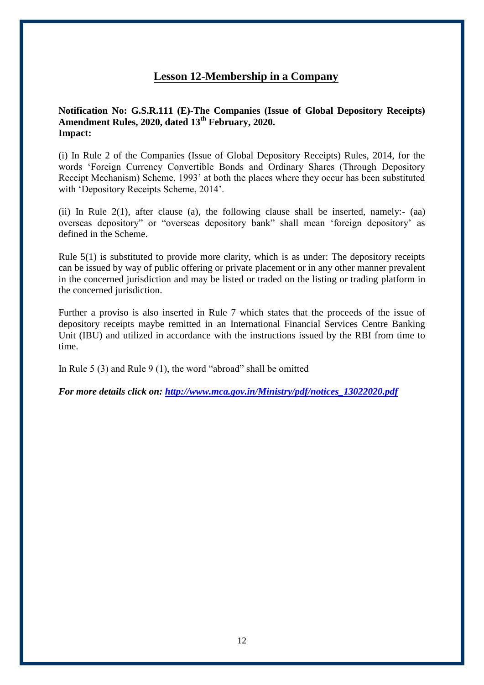# **Lesson 12-Membership in a Company**

#### **Notification No: G.S.R.111 (E)-The Companies (Issue of Global Depository Receipts) Amendment Rules, 2020, dated 13th February, 2020. Impact:**

(i) In Rule 2 of the Companies (Issue of Global Depository Receipts) Rules, 2014, for the words 'Foreign Currency Convertible Bonds and Ordinary Shares (Through Depository Receipt Mechanism) Scheme, 1993' at both the places where they occur has been substituted with 'Depository Receipts Scheme, 2014'.

(ii) In Rule 2(1), after clause (a), the following clause shall be inserted, namely:- (aa) overseas depository" or "overseas depository bank" shall mean 'foreign depository' as defined in the Scheme.

Rule 5(1) is substituted to provide more clarity, which is as under: The depository receipts can be issued by way of public offering or private placement or in any other manner prevalent in the concerned jurisdiction and may be listed or traded on the listing or trading platform in the concerned jurisdiction.

Further a proviso is also inserted in Rule 7 which states that the proceeds of the issue of depository receipts maybe remitted in an International Financial Services Centre Banking Unit (IBU) and utilized in accordance with the instructions issued by the RBI from time to time.

In Rule 5 (3) and Rule 9 (1), the word "abroad" shall be omitted

*For more details click on: [http://www.mca.gov.in/Ministry/pdf/notices\\_13022020.pdf](http://www.mca.gov.in/Ministry/pdf/notices_13022020.pdf)*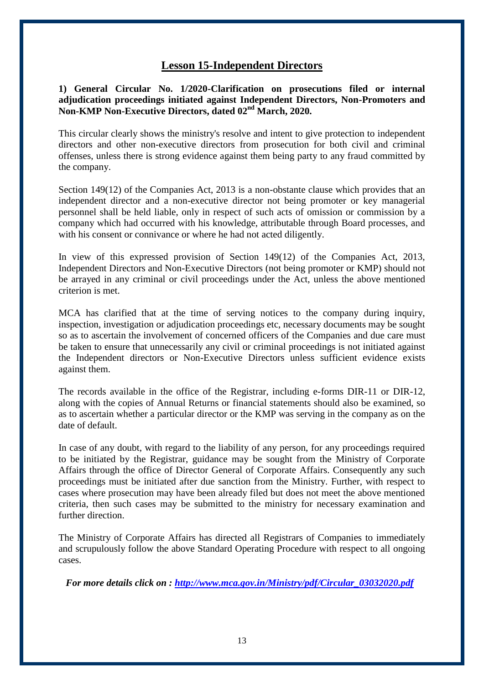## **Lesson 15-Independent Directors**

**1) General Circular No. 1/2020-Clarification on prosecutions filed or internal adjudication proceedings initiated against Independent Directors, Non-Promoters and Non-KMP Non-Executive Directors, dated 02nd March, 2020.** 

This circular clearly shows the ministry's resolve and intent to give protection to independent directors and other non-executive directors from prosecution for both civil and criminal offenses, unless there is strong evidence against them being party to any fraud committed by the company.

Section 149(12) of the Companies Act, 2013 is a non-obstante clause which provides that an independent director and a non-executive director not being promoter or key managerial personnel shall be held liable, only in respect of such acts of omission or commission by a company which had occurred with his knowledge, attributable through Board processes, and with his consent or connivance or where he had not acted diligently.

In view of this expressed provision of Section 149(12) of the Companies Act, 2013, Independent Directors and Non-Executive Directors (not being promoter or KMP) should not be arrayed in any criminal or civil proceedings under the Act, unless the above mentioned criterion is met.

MCA has clarified that at the time of serving notices to the company during inquiry, inspection, investigation or adjudication proceedings etc, necessary documents may be sought so as to ascertain the involvement of concerned officers of the Companies and due care must be taken to ensure that unnecessarily any civil or criminal proceedings is not initiated against the Independent directors or Non-Executive Directors unless sufficient evidence exists against them.

The records available in the office of the Registrar, including e-forms DIR-11 or DIR-12, along with the copies of Annual Returns or financial statements should also be examined, so as to ascertain whether a particular director or the KMP was serving in the company as on the date of default.

In case of any doubt, with regard to the liability of any person, for any proceedings required to be initiated by the Registrar, guidance may be sought from the Ministry of Corporate Affairs through the office of Director General of Corporate Affairs. Consequently any such proceedings must be initiated after due sanction from the Ministry. Further, with respect to cases where prosecution may have been already filed but does not meet the above mentioned criteria, then such cases may be submitted to the ministry for necessary examination and further direction.

The Ministry of Corporate Affairs has directed all Registrars of Companies to immediately and scrupulously follow the above Standard Operating Procedure with respect to all ongoing cases.

 *For more details click on : [http://www.mca.gov.in/Ministry/pdf/Circular\\_03032020.pdf](http://www.mca.gov.in/Ministry/pdf/Circular_03032020.pdf)*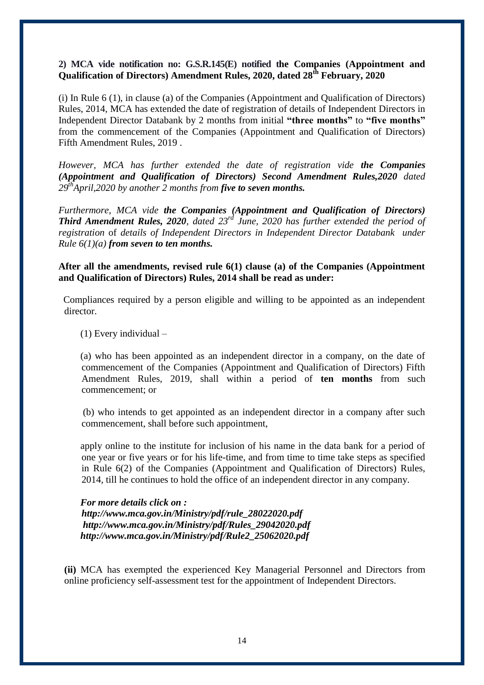#### **2) MCA vide notification no: G.S.R.145(E) notified the Companies (Appointment and Qualification of Directors) Amendment Rules, 2020, dated 28th February, 2020**

(i) In Rule 6 (1), in clause (a) of the Companies (Appointment and Qualification of Directors) Rules, 2014, MCA has extended the date of registration of details of Independent Directors in Independent Director Databank by 2 months from initial **"three months"** to **"five months"** from the commencement of the Companies (Appointment and Qualification of Directors) Fifth Amendment Rules, 2019 .

*However, MCA has further extended the date of registration vide the Companies (Appointment and Qualification of Directors) Second Amendment Rules,2020 dated 29thApril,2020 by another 2 months from five to seven months.*

*Furthermore, MCA vide the Companies (Appointment and Qualification of Directors) Third Amendment Rules, 2020, dated 23rd June, 2020 has further extended the period of registration* of *details of Independent Directors in Independent Director Databank under Rule 6(1)(a) from seven to ten months.*

**After all the amendments, revised rule 6(1) clause (a) of the Companies (Appointment and Qualification of Directors) Rules, 2014 shall be read as under:** 

 Compliances required by a person eligible and willing to be appointed as an independent director.

(1) Every individual –

 (a) who has been appointed as an independent director in a company, on the date of commencement of the Companies (Appointment and Qualification of Directors) Fifth Amendment Rules, 2019, shall within a period of **ten months** from such commencement; or

 (b) who intends to get appointed as an independent director in a company after such commencement, shall before such appointment,

 apply online to the institute for inclusion of his name in the data bank for a period of one year or five years or for his life-time, and from time to time take steps as specified in Rule 6(2) of the Companies (Appointment and Qualification of Directors) Rules, 2014, till he continues to hold the office of an independent director in any company.

*For more details click on : [http://www.mca.gov.in/Ministry/pdf/rule\\_28022020.pdf](http://www.mca.gov.in/Ministry/pdf/rule_28022020.pdf) [http://www.mca.gov.in/Ministry/pdf/Rules\\_29042020.pdf](http://www.mca.gov.in/Ministry/pdf/Rules_29042020.pdf) [http://www.mca.gov.in/Ministry/pdf/Rule2\\_25062020.pdf](http://www.mca.gov.in/Ministry/pdf/Rule2_25062020.pdf)*

**(ii)** MCA has exempted the experienced Key Managerial Personnel and Directors from online proficiency self-assessment test for the appointment of Independent Directors.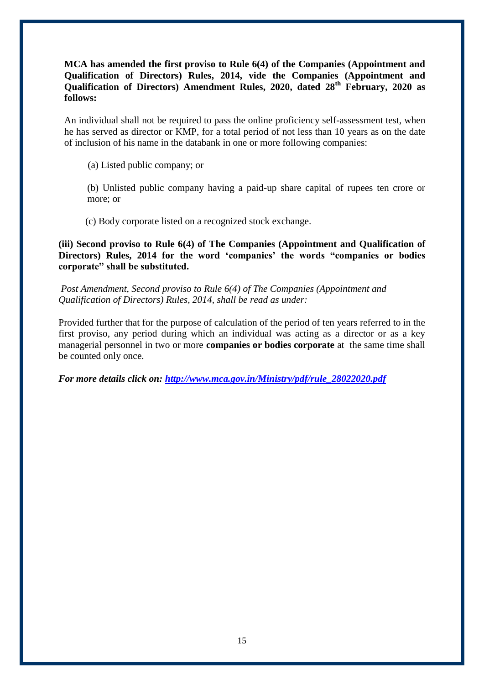**MCA has amended the first proviso to Rule 6(4) of the Companies (Appointment and Qualification of Directors) Rules, 2014, vide the Companies (Appointment and Qualification of Directors) Amendment Rules, 2020, dated 28th February, 2020 as follows:**

An individual shall not be required to pass the online proficiency self-assessment test, when he has served as director or KMP, for a total period of not less than 10 years as on the date of inclusion of his name in the databank in one or more following companies:

(a) Listed public company; or

(b) Unlisted public company having a paid-up share capital of rupees ten crore or more; or

(c) Body corporate listed on a recognized stock exchange.

**(iii) Second proviso to Rule 6(4) of The Companies (Appointment and Qualification of Directors) Rules, 2014 for the word 'companies' the words "companies or bodies corporate" shall be substituted.**

*Post Amendment, Second proviso to Rule 6(4) of The Companies (Appointment and Qualification of Directors) Rules, 2014, shall be read as under:*

Provided further that for the purpose of calculation of the period of ten years referred to in the first proviso, any period during which an individual was acting as a director or as a key managerial personnel in two or more **companies or bodies corporate** at the same time shall be counted only once.

*For more details click on: [http://www.mca.gov.in/Ministry/pdf/rule\\_28022020.pdf](http://www.mca.gov.in/Ministry/pdf/rule_28022020.pdf)*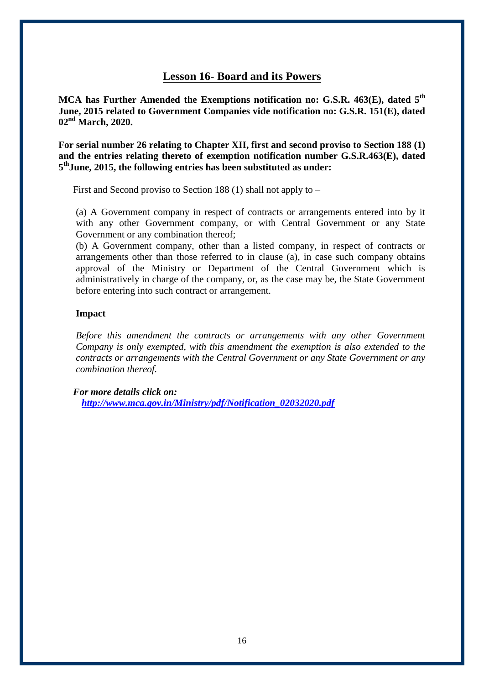## **Lesson 16- Board and its Powers**

**MCA has Further Amended the Exemptions notification no: G.S.R. 463(E), dated 5th June, 2015 related to Government Companies vide notification no: G.S.R. 151(E), dated 02nd March, 2020.**

**For serial number 26 relating to Chapter XII, first and second proviso to Section 188 (1) and the entries relating thereto of exemption notification number G.S.R.463(E), dated 5 thJune, 2015, the following entries has been substituted as under:** 

First and Second proviso to Section 188 (1) shall not apply to –

(a) A Government company in respect of contracts or arrangements entered into by it with any other Government company, or with Central Government or any State Government or any combination thereof;

(b) A Government company, other than a listed company, in respect of contracts or arrangements other than those referred to in clause (a), in case such company obtains approval of the Ministry or Department of the Central Government which is administratively in charge of the company, or, as the case may be, the State Government before entering into such contract or arrangement.

#### **Impact**

*Before this amendment the contracts or arrangements with any other Government Company is only exempted, with this amendment the exemption is also extended to the contracts or arrangements with the Central Government or any State Government or any combination thereof.*

 *For more details click on: [http://www.mca.gov.in/Ministry/pdf/Notification\\_02032020.pdf](http://www.mca.gov.in/Ministry/pdf/Notification_02032020.pdf)*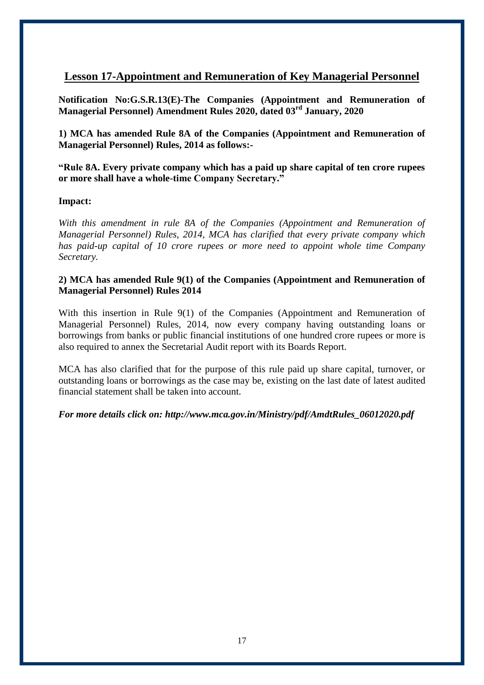# **Lesson 17-Appointment and Remuneration of Key Managerial Personnel**

**Notification No:G.S.R.13(E)-The Companies (Appointment and Remuneration of Managerial Personnel) Amendment Rules 2020, dated 03rd January, 2020** 

**1) MCA has amended Rule 8A of the Companies (Appointment and Remuneration of Managerial Personnel) Rules, 2014 as follows:-**

**"Rule 8A. Every private company which has a paid up share capital of ten crore rupees or more shall have a whole-time Company Secretary."**

#### **Impact:**

*With this amendment in rule 8A of the Companies (Appointment and Remuneration of Managerial Personnel) Rules, 2014, MCA has clarified that every private company which has paid-up capital of 10 crore rupees or more need to appoint whole time Company Secretary.* 

#### **2) MCA has amended Rule 9(1) of the Companies (Appointment and Remuneration of Managerial Personnel) Rules 2014**

With this insertion in Rule 9(1) of the Companies (Appointment and Remuneration of Managerial Personnel) Rules, 2014, now every company having outstanding loans or borrowings from banks or public financial institutions of one hundred crore rupees or more is also required to annex the Secretarial Audit report with its Boards Report.

MCA has also clarified that for the purpose of this rule paid up share capital, turnover, or outstanding loans or borrowings as the case may be, existing on the last date of latest audited financial statement shall be taken into account.

*For more details click on: [http://www.mca.gov.in/Ministry/pdf/AmdtRules\\_06012020.pdf](http://www.mca.gov.in/Ministry/pdf/AmdtRules_06012020.pdf)*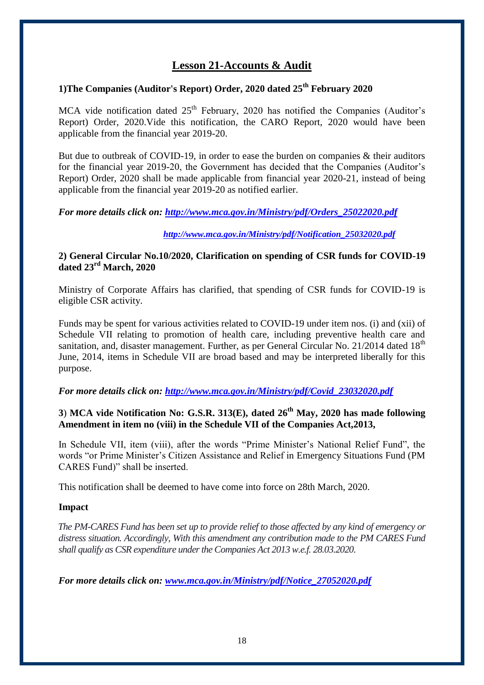# **Lesson 21-Accounts & Audit**

# **1)The Companies (Auditor's Report) Order, 2020 dated 25th February 2020**

MCA vide notification dated  $25<sup>th</sup>$  February, 2020 has notified the Companies (Auditor's Report) Order, 2020.Vide this notification, the CARO Report, 2020 would have been applicable from the financial year 2019-20.

But due to outbreak of COVID-19, in order to ease the burden on companies  $\&$  their auditors for the financial year 2019-20, the Government has decided that the Companies (Auditor's Report) Order, 2020 shall be made applicable from financial year 2020-21, instead of being applicable from the financial year 2019-20 as notified earlier.

*For more details click on: [http://www.mca.gov.in/Ministry/pdf/Orders\\_25022020.pdf](http://www.mca.gov.in/Ministry/pdf/Orders_25022020.pdf)*

#### *[http://www.mca.gov.in/Ministry/pdf/Notification\\_25032020.pdf](http://www.mca.gov.in/Ministry/pdf/Notification_25032020.pdf)*

#### **2) General Circular No.10/2020, Clarification on spending of CSR funds for COVID-19 dated 23rd March, 2020**

Ministry of Corporate Affairs has clarified, that spending of CSR funds for COVID-19 is eligible CSR activity.

Funds may be spent for various activities related to COVID-19 under item nos. (i) and (xii) of Schedule VII relating to promotion of health care, including preventive health care and sanitation, and, disaster management. Further, as per General Circular No. 21/2014 dated 18<sup>th</sup> June, 2014, items in Schedule VII are broad based and may be interpreted liberally for this purpose.

#### *For more details click on: [http://www.mca.gov.in/Ministry/pdf/Covid\\_23032020.pdf](http://www.mca.gov.in/Ministry/pdf/Covid_23032020.pdf)*

#### **3**) **MCA vide Notification No: G.S.R. 313(E), dated 26th May, 2020 has made following Amendment in item no (viii) in the Schedule VII of the Companies Act,2013,**

In Schedule VII, item (viii), after the words "Prime Minister's National Relief Fund", the words "or Prime Minister's Citizen Assistance and Relief in Emergency Situations Fund (PM CARES Fund)" shall be inserted.

This notification shall be deemed to have come into force on 28th March, 2020.

#### **Impact**

 *The PM-CARES Fund has been set up to provide relief to those affected by any kind of emergency or distress situation. Accordingly, With this amendment any contribution made to the PM CARES Fund shall qualify as CSR expenditure under the Companies Act 2013 w.e.f. 28.03.2020.*

*For more details click on: [www.mca.gov.in/Ministry/pdf/Notice\\_27052020.pdf](http://www.mca.gov.in/Ministry/pdf/Notice_27052020.pdf)*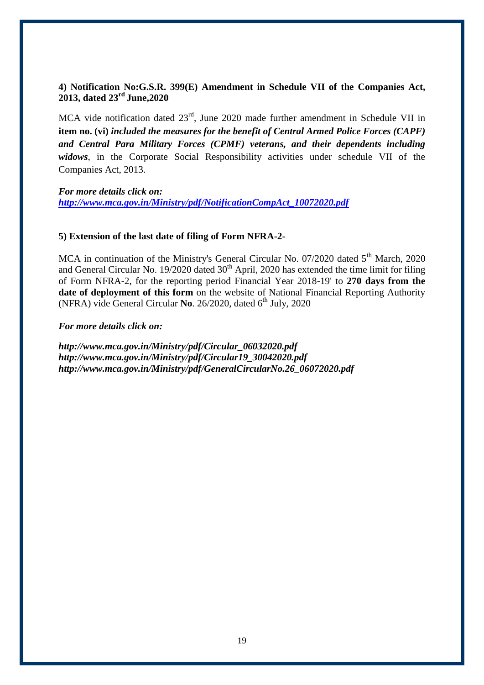#### **4) Notification No:G.S.R. 399(E) Amendment in Schedule VII of the Companies Act, 2013, dated 23rd June,2020**

MCA vide notification dated  $23<sup>rd</sup>$ , June 2020 made further amendment in Schedule VII in **item no. (vi)** *included the measures for the benefit of Central Armed Police Forces (CAPF) and Central Para Military Forces (CPMF) veterans, and their dependents including widows*, in the Corporate Social Responsibility activities under schedule VII of the Companies Act, 2013.

*For more details click on: [http://www.mca.gov.in/Ministry/pdf/NotificationCompAct\\_10072020.pdf](http://www.mca.gov.in/Ministry/pdf/NotificationCompAct_10072020.pdf)*

#### **5) Extension of the last date of filing of Form NFRA-2-**

MCA in continuation of the Ministry's General Circular No. 07/2020 dated 5<sup>th</sup> March, 2020 and General Circular No. 19/2020 dated  $30<sup>th</sup>$  April, 2020 has extended the time limit for filing of Form NFRA-2, for the reporting period Financial Year 2018-19' to **270 days from the date of deployment of this form** on the website of National Financial Reporting Authority (NFRA) vide General Circular No. 26/2020, dated 6<sup>th</sup> July, 2020

#### *For more details click on:*

*[http://www.mca.gov.in/Ministry/pdf/Circular\\_06032020.pdf](http://www.mca.gov.in/Ministry/pdf/Circular_06032020.pdf) [http://www.mca.gov.in/Ministry/pdf/Circular19\\_30042020.pdf](http://www.mca.gov.in/Ministry/pdf/Circular19_30042020.pdf) [http://www.mca.gov.in/Ministry/pdf/GeneralCircularNo.26\\_06072020.pdf](http://www.mca.gov.in/Ministry/pdf/GeneralCircularNo.26_06072020.pdf)*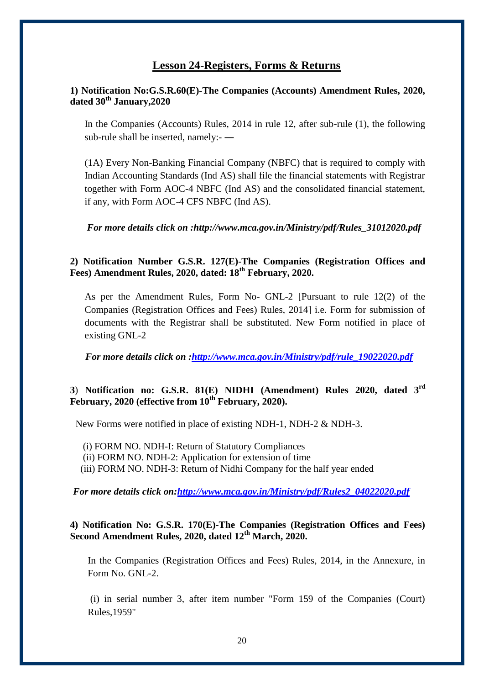#### **Lesson 24-Registers, Forms & Returns**

#### **1) Notification No:G.S.R.60(E)-The Companies (Accounts) Amendment Rules, 2020, dated 30th January,2020**

In the Companies (Accounts) Rules, 2014 in rule 12, after sub-rule (1), the following sub-rule shall be inserted, namely:- ―

(1A) Every Non-Banking Financial Company (NBFC) that is required to comply with Indian Accounting Standards (Ind AS) shall file the financial statements with Registrar together with Form AOC-4 NBFC (Ind AS) and the consolidated financial statement, if any, with Form AOC-4 CFS NBFC (Ind AS).

*For more details click on [:http://www.mca.gov.in/Ministry/pdf/Rules\\_31012020.pdf](http://www.mca.gov.in/Ministry/pdf/Rules_31012020.pdf)*

#### **2) Notification Number G.S.R. 127(E)-The Companies (Registration Offices and Fees) Amendment Rules, 2020, dated: 18th February, 2020.**

As per the Amendment Rules, Form No- GNL-2 [Pursuant to rule 12(2) of the Companies (Registration Offices and Fees) Rules, 2014] i.e. Form for submission of documents with the Registrar shall be substituted. New Form notified in place of existing GNL-2

 *For more details click on [:http://www.mca.gov.in/Ministry/pdf/rule\\_19022020.pdf](http://www.mca.gov.in/Ministry/pdf/rule_19022020.pdf)*

## **3**) **Notification no: G.S.R. 81(E) NIDHI (Amendment) Rules 2020, dated 3rd February, 2020 (effective from 10th February, 2020).**

New Forms were notified in place of existing NDH-1, NDH-2 & NDH-3.

(i) FORM NO. NDH-I: Return of Statutory Compliances

(ii) FORM NO. NDH-2: Application for extension of time

(iii) FORM NO. NDH-3: Return of Nidhi Company for the half year ended

 *For more details click on[:http://www.mca.gov.in/Ministry/pdf/Rules2\\_04022020.pdf](http://www.mca.gov.in/Ministry/pdf/Rules2_04022020.pdf)*

#### **4) Notification No: G.S.R. 170(E)-The Companies (Registration Offices and Fees) Second Amendment Rules, 2020, dated 12th March, 2020.**

In the Companies (Registration Offices and Fees) Rules, 2014, in the Annexure, in Form No. GNL-2.

(i) in serial number 3, after item number "Form 159 of the Companies (Court) Rules,1959"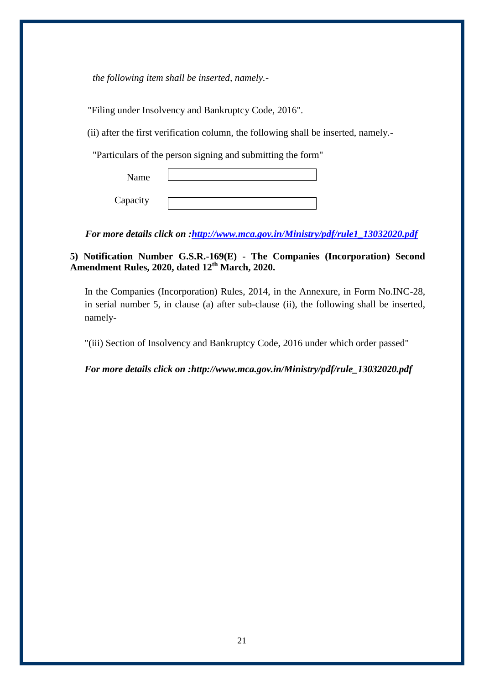*the following item shall be inserted, namely.-*

"Filing under Insolvency and Bankruptcy Code, 2016".

(ii) after the first verification column, the following shall be inserted, namely.-

"Particulars of the person signing and submitting the form"

 Name Capacity

 *For more details click on [:http://www.mca.gov.in/Ministry/pdf/rule1\\_13032020.pdf](http://www.mca.gov.in/Ministry/pdf/rule1_13032020.pdf)*

**5) Notification Number G.S.R.-169(E) - The Companies (Incorporation) Second Amendment Rules, 2020, dated 12th March, 2020.**

In the Companies (Incorporation) Rules, 2014, in the Annexure, in Form No.INC-28, in serial number 5, in clause (a) after sub-clause (ii), the following shall be inserted, namely-

"(iii) Section of Insolvency and Bankruptcy Code, 2016 under which order passed"

*For more details click on [:http://www.mca.gov.in/Ministry/pdf/rule\\_13032020.pdf](http://www.mca.gov.in/Ministry/pdf/rule_13032020.pdf)*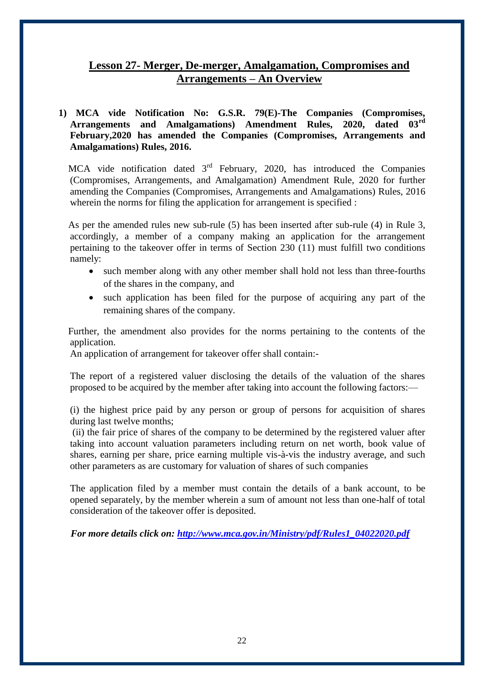# **Lesson 27- Merger, De-merger, Amalgamation, Compromises and Arrangements – An Overview**

#### **1) MCA vide Notification No: G.S.R. 79(E)-The Companies (Compromises,**  Arrangements and Amalgamations) Amendment Rules, 2020, **February,2020 has amended the Companies (Compromises, Arrangements and Amalgamations) Rules, 2016.**

MCA vide notification dated  $3<sup>rd</sup>$  February, 2020, has introduced the Companies (Compromises, Arrangements, and Amalgamation) Amendment Rule, 2020 for further amending the Companies (Compromises, Arrangements and Amalgamations) Rules, 2016 wherein the norms for filing the application for arrangement is specified :

 As per the amended rules new sub-rule (5) has been inserted after sub-rule (4) in Rule 3, accordingly, a member of a company making an application for the arrangement pertaining to the takeover offer in terms of Section 230 (11) must fulfill two conditions namely:

- such member along with any other member shall hold not less than three-fourths of the shares in the company, and
- such application has been filed for the purpose of acquiring any part of the remaining shares of the company.

 Further, the amendment also provides for the norms pertaining to the contents of the application.

An application of arrangement for takeover offer shall contain:-

The report of a registered valuer disclosing the details of the valuation of the shares proposed to be acquired by the member after taking into account the following factors:—

(i) the highest price paid by any person or group of persons for acquisition of shares during last twelve months;

(ii) the fair price of shares of the company to be determined by the registered valuer after taking into account valuation parameters including return on net worth, book value of shares, earning per share, price earning multiple vis-à-vis the industry average, and such other parameters as are customary for valuation of shares of such companies

The application filed by a member must contain the details of a bank account, to be opened separately, by the member wherein a sum of amount not less than one-half of total consideration of the takeover offer is deposited.

 *For more details click on: [http://www.mca.gov.in/Ministry/pdf/Rules1\\_04022020.pdf](http://www.mca.gov.in/Ministry/pdf/Rules1_04022020.pdf)*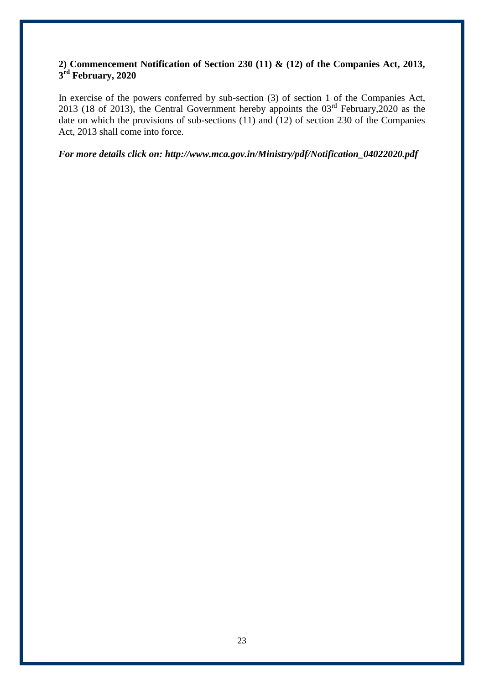#### **2) Commencement Notification of Section 230 (11) & (12) of the Companies Act, 2013, 3 rd February, 2020**

In exercise of the powers conferred by sub-section (3) of section 1 of the Companies Act, 2013 (18 of 2013), the Central Government hereby appoints the 03rd February,2020 as the date on which the provisions of sub-sections (11) and (12) of section 230 of the Companies Act, 2013 shall come into force.

*For more details click on: [http://www.mca.gov.in/Ministry/pdf/Notification\\_04022020.pdf](http://www.mca.gov.in/Ministry/pdf/Notification_04022020.pdf)*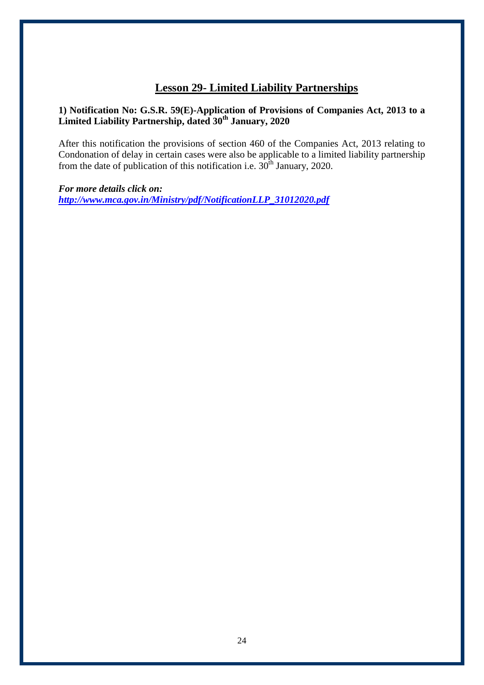# **Lesson 29- Limited Liability Partnerships**

#### **1) Notification No: G.S.R. 59(E)-Application of Provisions of Companies Act, 2013 to a Limited Liability Partnership, dated 30th January, 2020**

After this notification the provisions of section 460 of the Companies Act, 2013 relating to Condonation of delay in certain cases were also be applicable to a limited liability partnership from the date of publication of this notification i.e.  $30<sup>th</sup>$  January, 2020.

*For more details click on: [http://www.mca.gov.in/Ministry/pdf/NotificationLLP\\_31012020.pdf](http://www.mca.gov.in/Ministry/pdf/NotificationLLP_31012020.pdf)*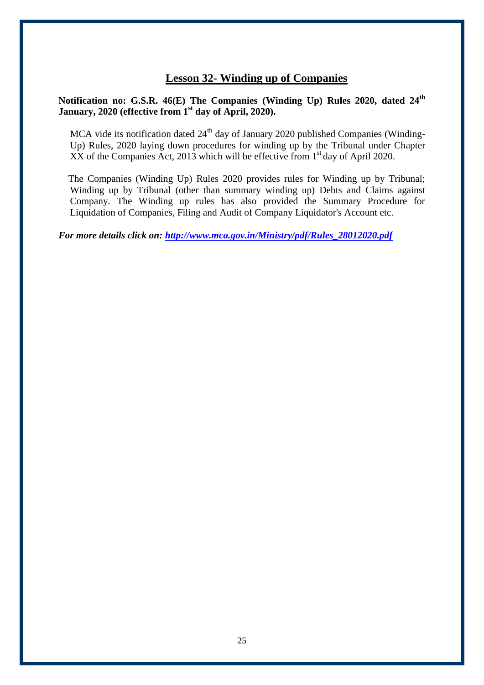# **Lesson 32- Winding up of Companies**

#### **Notification no: G.S.R. 46(E) The Companies (Winding Up) Rules 2020, dated 24th January, 2020 (effective from 1st day of April, 2020).**

MCA vide its notification dated  $24<sup>th</sup>$  day of January 2020 published Companies (Winding-Up) Rules, 2020 laying down procedures for winding up by the Tribunal under Chapter  $\overline{XX}$  of the Companies Act, 2013 which will be effective from  $1<sup>st</sup>$  day of April 2020.

 The Companies (Winding Up) Rules 2020 provides rules for Winding up by Tribunal; Winding up by Tribunal (other than summary winding up) Debts and Claims against Company. The Winding up rules has also provided the Summary Procedure for Liquidation of Companies, Filing and Audit of Company Liquidator's Account etc.

*For more details click on: [http://www.mca.gov.in/Ministry/pdf/Rules\\_28012020.pdf](http://www.mca.gov.in/Ministry/pdf/Rules_28012020.pdf)*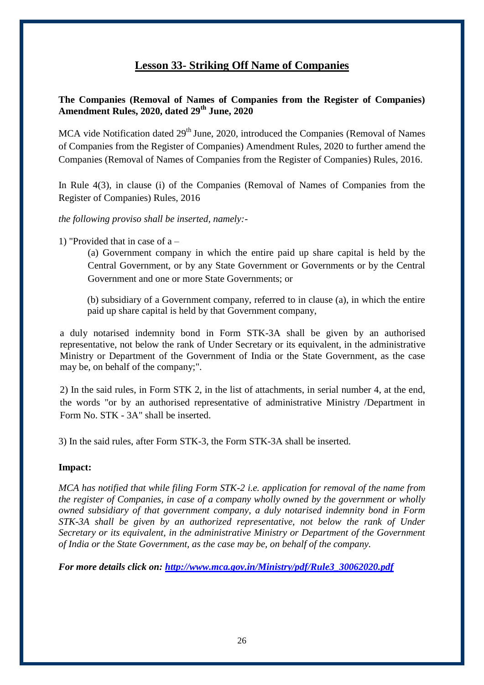# **Lesson 33- Striking Off Name of Companies**

#### **The Companies (Removal of Names of Companies from the Register of Companies) Amendment Rules, 2020, dated 29th June, 2020**

MCA vide Notification dated  $29<sup>th</sup>$  June, 2020, introduced the Companies (Removal of Names of Companies from the Register of Companies) Amendment Rules, 2020 to further amend the Companies (Removal of Names of Companies from the Register of Companies) Rules, 2016.

In Rule 4(3), in clause (i) of the Companies (Removal of Names of Companies from the Register of Companies) Rules, 2016

*the following proviso shall be inserted, namely:-*

1) "Provided that in case of a –

(a) Government company in which the entire paid up share capital is held by the Central Government, or by any State Government or Governments or by the Central Government and one or more State Governments; or

(b) subsidiary of a Government company, referred to in clause (a), in which the entire paid up share capital is held by that Government company,

a duly notarised indemnity bond in Form STK-3A shall be given by an authorised representative, not below the rank of Under Secretary or its equivalent, in the administrative Ministry or Department of the Government of India or the State Government, as the case may be, on behalf of the company;".

2) In the said rules, in Form STK 2, in the list of attachments, in serial number 4, at the end, the words "or by an authorised representative of administrative Ministry /Department in Form No. STK - 3A" shall be inserted.

3) In the said rules, after Form STK-3, the Form STK-3A shall be inserted.

#### **Impact:**

*MCA has notified that while filing Form STK-2 i.e. application for removal of the name from the register of Companies, in case of a company wholly owned by the government or wholly owned subsidiary of that government company, a duly notarised indemnity bond in Form STK-3A shall be given by an authorized representative, not below the rank of Under Secretary or its equivalent, in the administrative Ministry or Department of the Government of India or the State Government, as the case may be, on behalf of the company.*

*For more details click on: [http://www.mca.gov.in/Ministry/pdf/Rule3\\_30062020.pdf](http://www.mca.gov.in/Ministry/pdf/Rule3_30062020.pdf)*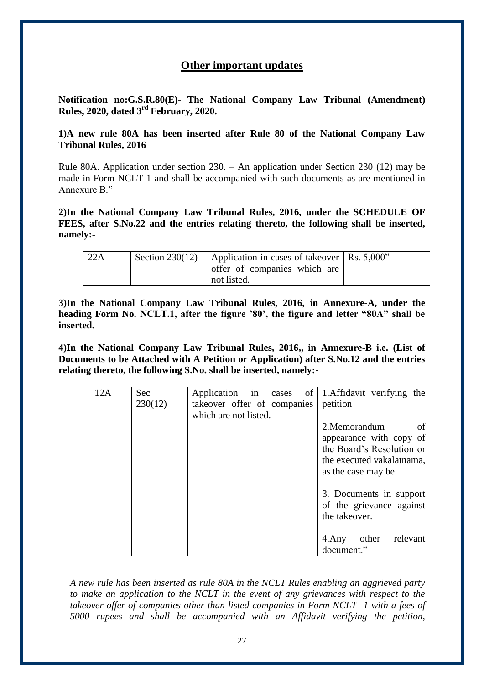### **Other important updates**

**Notification no:G.S.R.80(E)- The National Company Law Tribunal (Amendment) Rules, 2020, dated 3rd February, 2020.**

**1)A new rule 80A has been inserted after Rule 80 of the National Company Law Tribunal Rules, 2016** 

Rule 80A. Application under section 230. – An application under Section 230 (12) may be made in Form NCLT-1 and shall be accompanied with such documents as are mentioned in Annexure B."

**2)In the National Company Law Tribunal Rules, 2016, under the SCHEDULE OF FEES, after S.No.22 and the entries relating thereto, the following shall be inserted, namely:-**

| 22A | Section 230(12) Application in cases of takeover $\vert$ Rs. 5,000" |  |
|-----|---------------------------------------------------------------------|--|
|     | offer of companies which are                                        |  |
|     | not listed.                                                         |  |

**3)In the National Company Law Tribunal Rules, 2016, in Annexure-A, under the heading Form No. NCLT.1, after the figure '80', the figure and letter "80A" shall be inserted.**

**4)In the National Company Law Tribunal Rules, 2016,, in Annexure-B i.e. (List of Documents to be Attached with A Petition or Application) after S.No.12 and the entries relating thereto, the following S.No. shall be inserted, namely:-**

| 12A | <b>Sec</b><br>230(12) | Application in cases of 1. Affidavit verifying the<br>takeover offer of companies<br>which are not listed. | petition                                                                                                                        |
|-----|-----------------------|------------------------------------------------------------------------------------------------------------|---------------------------------------------------------------------------------------------------------------------------------|
|     |                       |                                                                                                            | 2. Memorandum<br>of<br>appearance with copy of<br>the Board's Resolution or<br>the executed vakalatnama,<br>as the case may be. |
|     |                       |                                                                                                            | 3. Documents in support<br>of the grievance against<br>the takeover.                                                            |
|     |                       |                                                                                                            | other<br>relevant<br>4.Any<br>document."                                                                                        |

*A new rule has been inserted as rule 80A in the NCLT Rules enabling an aggrieved party to make an application to the NCLT in the event of any grievances with respect to the takeover offer of companies other than listed companies in Form NCLT- 1 with a fees of 5000 rupees and shall be accompanied with an Affidavit verifying the petition,*